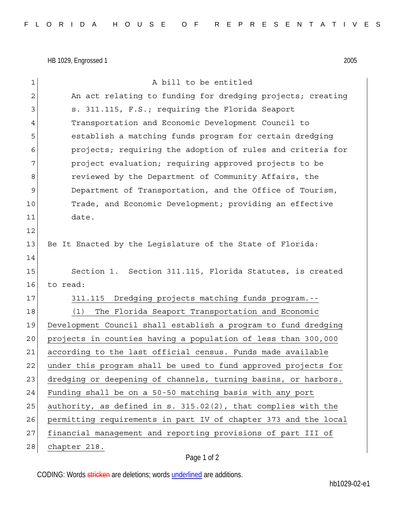HB 1029, Engrossed 1 2005

| $\mathbf{1}$   | A bill to be entitled                                           |
|----------------|-----------------------------------------------------------------|
| $\mathbf{2}$   | An act relating to funding for dredging projects; creating      |
| 3              | s. 311.115, F.S.; requiring the Florida Seaport                 |
| $\overline{4}$ | Transportation and Economic Development Council to              |
| 5              | establish a matching funds program for certain dredging         |
| 6              | projects; requiring the adoption of rules and criteria for      |
| 7              | project evaluation; requiring approved projects to be           |
| 8              | reviewed by the Department of Community Affairs, the            |
| 9              | Department of Transportation, and the Office of Tourism,        |
| 10             | Trade, and Economic Development; providing an effective         |
| 11             | date.                                                           |
| 12             |                                                                 |
| 13             | Be It Enacted by the Legislature of the State of Florida:       |
| 14             |                                                                 |
| 15             | Section 1. Section 311.115, Florida Statutes, is created        |
| 16             | to read:                                                        |
| 17             | Dredging projects matching funds program.--<br>311.115          |
| 18             | The Florida Seaport Transportation and Economic<br>(1)          |
| 19             | Development Council shall establish a program to fund dredging  |
| 20             | projects in counties having a population of less than 300,000   |
| 21             | according to the last official census. Funds made available     |
| 22             | under this program shall be used to fund approved projects for  |
| 23             | dredging or deepening of channels, turning basins, or harbors.  |
| 24             | Funding shall be on a 50-50 matching basis with any port        |
| 25             | authority, as defined in s. 315.02(2), that complies with the   |
| 26             | permitting requirements in part IV of chapter 373 and the local |
| 27             | financial management and reporting provisions of part III of    |
| 28             | chapter 218.                                                    |

## Page 1 of 2

CODING: Words stricken are deletions; words underlined are additions.